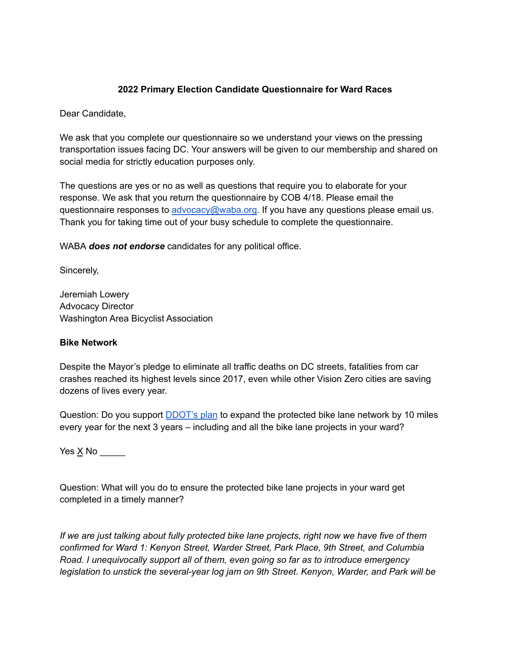## **2022 Primary Election Candidate Questionnaire for Ward Races**

Dear Candidate,

We ask that you complete our questionnaire so we understand your views on the pressing transportation issues facing DC. Your answers will be given to our membership and shared on social media for strictly education purposes only.

The questions are yes or no as well as questions that require you to elaborate for your response. We ask that you return the questionnaire by COB 4/18. Please email the questionnaire responses to [advocacy@waba.org.](mailto:jeremiah.lowery@waba.org) If you have any questions please email us. Thank you for taking time out of your busy schedule to complete the questionnaire.

WABA *does not endorse* candidates for any political office.

Sincerely,

Jeremiah Lowery Advocacy Director Washington Area Bicyclist Association

### **Bike Network**

Despite the Mayor's pledge to eliminate all traffic deaths on DC streets, fatalities from car crashes reached its highest levels since 2017, even while other Vision Zero cities are saving dozens of lives every year.

Question: Do you support **[DDOT's plan](https://ddot.dc.gov/page/bicycle-lanes)** to expand the protected bike lane network by 10 miles every year for the next 3 years – including and all the bike lane projects in your ward?

Yes  $\times$  No \_\_\_\_\_\_

Question: What will you do to ensure the protected bike lane projects in your ward get completed in a timely manner?

*If we are just talking about fully protected bike lane projects, right now we have five of them confirmed for Ward 1: Kenyon Street, Warder Street, Park Place, 9th Street, and Columbia Road. I unequivocally support all of them, even going so far as to introduce emergency legislation to unstick the several-year log jam on 9th Street. Kenyon, Warder, and Park will be*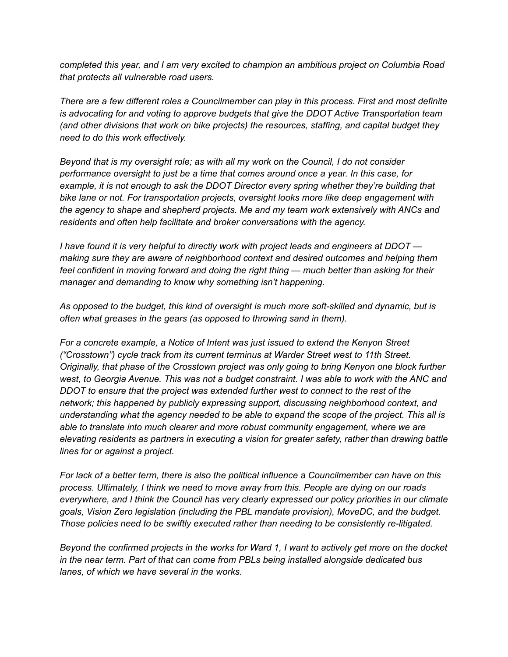*completed this year, and I am very excited to champion an ambitious project on Columbia Road that protects all vulnerable road users.*

*There are a few different roles a Councilmember can play in this process. First and most definite is advocating for and voting to approve budgets that give the DDOT Active Transportation team (and other divisions that work on bike projects) the resources, staffing, and capital budget they need to do this work effectively.*

*Beyond that is my oversight role; as with all my work on the Council, I do not consider performance oversight to just be a time that comes around once a year. In this case, for example, it is not enough to ask the DDOT Director every spring whether they're building that bike lane or not. For transportation projects, oversight looks more like deep engagement with the agency to shape and shepherd projects. Me and my team work extensively with ANCs and residents and often help facilitate and broker conversations with the agency.*

*I have found it is very helpful to directly work with project leads and engineers at DDOT making sure they are aware of neighborhood context and desired outcomes and helping them feel confident in moving forward and doing the right thing — much better than asking for their manager and demanding to know why something isn't happening.*

*As opposed to the budget, this kind of oversight is much more soft-skilled and dynamic, but is often what greases in the gears (as opposed to throwing sand in them).*

*For a concrete example, a Notice of Intent was just issued to extend the Kenyon Street ("Crosstown") cycle track from its current terminus at Warder Street west to 11th Street. Originally, that phase of the Crosstown project was only going to bring Kenyon one block further west, to Georgia Avenue. This was not a budget constraint. I was able to work with the ANC and DDOT to ensure that the project was extended further west to connect to the rest of the network; this happened by publicly expressing support, discussing neighborhood context, and understanding what the agency needed to be able to expand the scope of the project. This all is able to translate into much clearer and more robust community engagement, where we are elevating residents as partners in executing a vision for greater safety, rather than drawing battle lines for or against a project.*

*For lack of a better term, there is also the political influence a Councilmember can have on this process. Ultimately, I think we need to move away from this. People are dying on our roads everywhere, and I think the Council has very clearly expressed our policy priorities in our climate goals, Vision Zero legislation (including the PBL mandate provision), MoveDC, and the budget. Those policies need to be swiftly executed rather than needing to be consistently re-litigated.*

*Beyond the confirmed projects in the works for Ward 1, I want to actively get more on the docket in the near term. Part of that can come from PBLs being installed alongside dedicated bus lanes, of which we have several in the works.*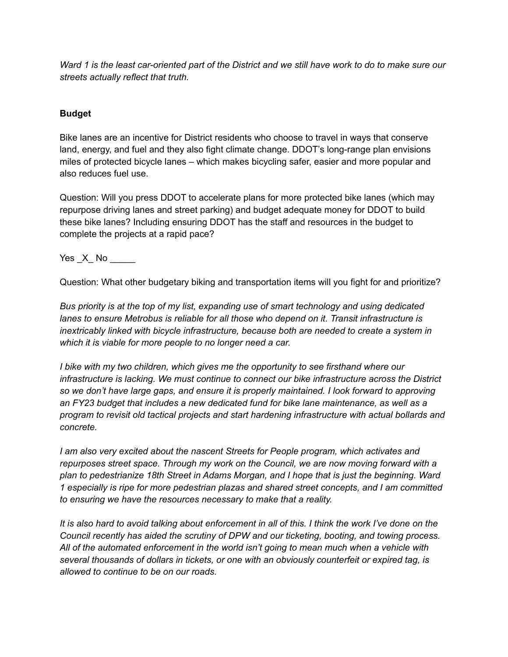*Ward 1 is the least car-oriented part of the District and we still have work to do to make sure our streets actually reflect that truth.*

## **Budget**

Bike lanes are an incentive for District residents who choose to travel in ways that conserve land, energy, and fuel and they also fight climate change. DDOT's long-range plan envisions miles of protected bicycle lanes – which makes bicycling safer, easier and more popular and also reduces fuel use.

Question: Will you press DDOT to accelerate plans for more protected bike lanes (which may repurpose driving lanes and street parking) and budget adequate money for DDOT to build these bike lanes? Including ensuring DDOT has the staff and resources in the budget to complete the projects at a rapid pace?

Yes \_X\_ No \_\_\_\_\_\_

Question: What other budgetary biking and transportation items will you fight for and prioritize?

*Bus priority is at the top of my list, expanding use of smart technology and using dedicated lanes to ensure Metrobus is reliable for all those who depend on it. Transit infrastructure is inextricably linked with bicycle infrastructure, because both are needed to create a system in which it is viable for more people to no longer need a car.*

*I bike with my two children, which gives me the opportunity to see firsthand where our infrastructure is lacking. We must continue to connect our bike infrastructure across the District so we don't have large gaps, and ensure it is properly maintained. I look forward to approving an FY23 budget that includes a new dedicated fund for bike lane maintenance, as well as a program to revisit old tactical projects and start hardening infrastructure with actual bollards and concrete.*

*I am also very excited about the nascent Streets for People program, which activates and repurposes street space. Through my work on the Council, we are now moving forward with a plan to pedestrianize 18th Street in Adams Morgan, and I hope that is just the beginning. Ward 1 especially is ripe for more pedestrian plazas and shared street concepts, and I am committed to ensuring we have the resources necessary to make that a reality.*

*It is also hard to avoid talking about enforcement in all of this. I think the work I've done on the Council recently has aided the scrutiny of DPW and our ticketing, booting, and towing process. All of the automated enforcement in the world isn't going to mean much when a vehicle with several thousands of dollars in tickets, or one with an obviously counterfeit or expired tag, is allowed to continue to be on our roads.*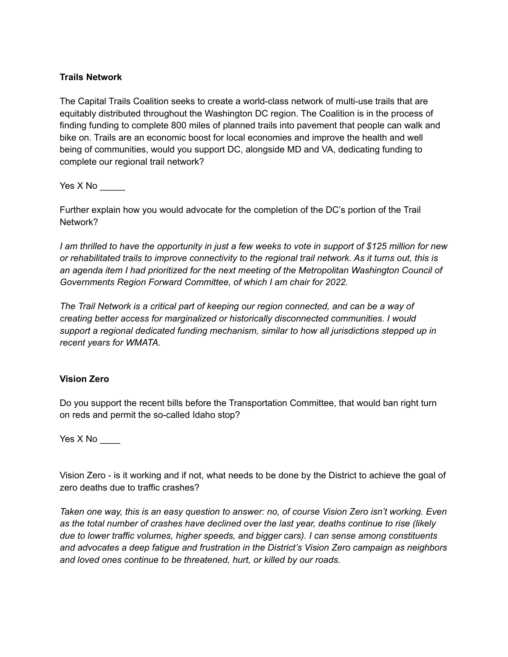## **Trails Network**

The Capital Trails Coalition seeks to create a world-class network of multi-use trails that are equitably distributed throughout the Washington DC region. The Coalition is in the process of finding funding to complete 800 miles of planned trails into pavement that people can walk and bike on. Trails are an economic boost for local economies and improve the health and well being of communities, would you support DC, alongside MD and VA, dedicating funding to complete our regional trail network?

Yes  $X$  No  $\_\_\_\_\_\_\_\_\_\$ 

Further explain how you would advocate for the completion of the DC's portion of the Trail Network?

*I am thrilled to have the opportunity in just a few weeks to vote in support of \$125 million for new or rehabilitated trails to improve connectivity to the regional trail network. As it turns out, this is an agenda item I had prioritized for the next meeting of the Metropolitan Washington Council of Governments Region Forward Committee, of which I am chair for 2022.*

*The Trail Network is a critical part of keeping our region connected, and can be a way of creating better access for marginalized or historically disconnected communities. I would support a regional dedicated funding mechanism, similar to how all jurisdictions stepped up in recent years for WMATA.*

### **Vision Zero**

Do you support the recent bills before the Transportation Committee, that would ban right turn on reds and permit the so-called Idaho stop?

Yes X No

Vision Zero - is it working and if not, what needs to be done by the District to achieve the goal of zero deaths due to traffic crashes?

*Taken one way, this is an easy question to answer: no, of course Vision Zero isn't working. Even as the total number of crashes have declined over the last year, deaths continue to rise (likely due to lower traffic volumes, higher speeds, and bigger cars). I can sense among constituents and advocates a deep fatigue and frustration in the District's Vision Zero campaign as neighbors and loved ones continue to be threatened, hurt, or killed by our roads.*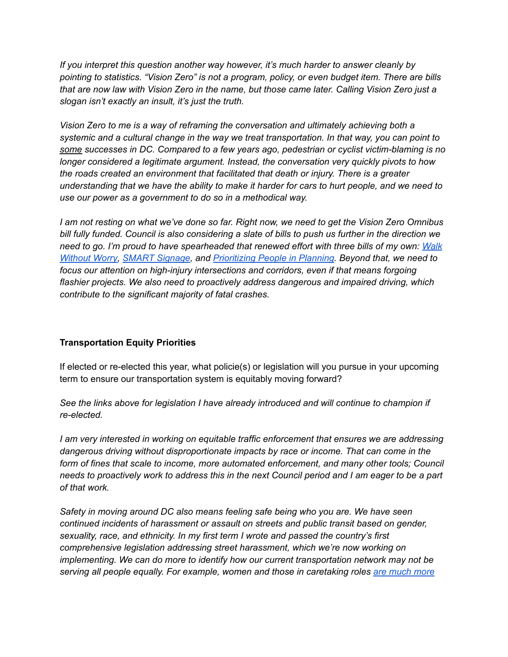*If you interpret this question another way however, it's much harder to answer cleanly by pointing to statistics. "Vision Zero" is not a program, policy, or even budget item. There are bills that are now law with Vision Zero in the name, but those came later. Calling Vision Zero just a slogan isn't exactly an insult, it's just the truth.*

*Vision Zero to me is a way of reframing the conversation and ultimately achieving both a systemic and a cultural change in the way we treat transportation. In that way, you can point to some successes in DC. Compared to a few years ago, pedestrian or cyclist victim-blaming is no longer considered a legitimate argument. Instead, the conversation very quickly pivots to how the roads created an environment that facilitated that death or injury. There is a greater understanding that we have the ability to make it harder for cars to hurt people, and we need to use our power as a government to do so in a methodical way.*

*I am not resting on what we've done so far. Right now, we need to get the Vision Zero Omnibus bill fully funded. Council is also considering a slate of bills to push us further in the direction we need to go. I'm proud to have spearheaded that renewed effort with three bills of my own: [Walk](https://www.brianneknadeau.com/updates/press-release/councilmember-brianne-k-nadeau-introduces-bill-standardize-raised-crosswalks) [Without Worry,](https://www.brianneknadeau.com/updates/press-release/councilmember-brianne-k-nadeau-introduces-bill-standardize-raised-crosswalks) [SMART Signage](https://www.brianneknadeau.com/updates/press-release/councilmember-nadeau-introduces-two-bills-improve-traffic-safety-and-street), and [Prioritizing People in Planning.](https://www.brianneknadeau.com/updates/press-release/councilmember-nadeau-introduces-two-bills-improve-traffic-safety-and-street) Beyond that, we need to focus our attention on high-injury intersections and corridors, even if that means forgoing flashier projects. We also need to proactively address dangerous and impaired driving, which contribute to the significant majority of fatal crashes.*

# **Transportation Equity Priorities**

If elected or re-elected this year, what policie(s) or legislation will you pursue in your upcoming term to ensure our transportation system is equitably moving forward?

*See the links above for legislation I have already introduced and will continue to champion if re-elected.*

*I am very interested in working on equitable traffic enforcement that ensures we are addressing dangerous driving without disproportionate impacts by race or income. That can come in the form of fines that scale to income, more automated enforcement, and many other tools; Council needs to proactively work to address this in the next Council period and I am eager to be a part of that work.*

*Safety in moving around DC also means feeling safe being who you are. We have seen continued incidents of harassment or assault on streets and public transit based on gender, sexuality, race, and ethnicity. In my first term I wrote and passed the country's first comprehensive legislation addressing street harassment, which we're now working on implementing. We can do more to identify how our current transportation network may not be serving all people equally. For example, women and those in caretaking roles [are much more](https://trid.trb.org/view/773064)*